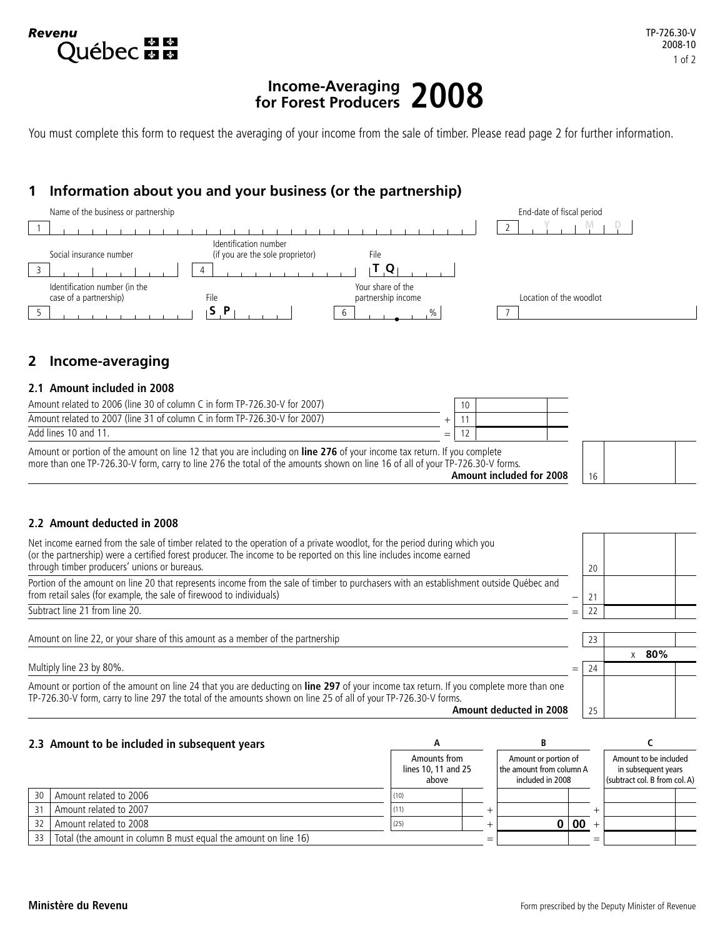# **Income-Averaging for Forest Producers 2008**

You must complete this form to request the averaging of your income from the sale of timber. Please read page 2 for further information.

# **1 Information about you and your business (or the partnership)**



# **2 Income-averaging**

**Revenu** 

**Québec man** 

## **2.1 Amount included in 2008**

| Amount related to 2006 (line 30 of column C in form TP-726.30-V for 2007) |   |  |  |  |
|---------------------------------------------------------------------------|---|--|--|--|
| Amount related to 2007 (line 31 of column C in form TP-726.30-V for 2007) |   |  |  |  |
| Add lines 10 and 11.                                                      | – |  |  |  |
|                                                                           |   |  |  |  |

Amount or portion of the amount on line 12 that you are including on **line 276** of your income tax return. If you complete more than one TP-726.30-V form, carry to line 276 the total of the amounts shown on line 16 of all of your TP-726.30-V forms. **Amount included for 2008**

## **2.2 Amount deducted in 2008**

| Net income earned from the sale of timber related to the operation of a private woodlot, for the period during which you<br>(or the partnership) were a certified forest producer. The income to be reported on this line includes income earned<br>through timber producers' unions or bureaus. |     | 20 |          |  |
|--------------------------------------------------------------------------------------------------------------------------------------------------------------------------------------------------------------------------------------------------------------------------------------------------|-----|----|----------|--|
| Portion of the amount on line 20 that represents income from the sale of timber to purchasers with an establishment outside Québec and<br>from retail sales (for example, the sale of firewood to individuals)                                                                                   |     |    |          |  |
| Subtract line 21 from line 20.                                                                                                                                                                                                                                                                   |     |    |          |  |
| Amount on line 22, or your share of this amount as a member of the partnership                                                                                                                                                                                                                   |     | 23 |          |  |
|                                                                                                                                                                                                                                                                                                  |     |    | 80%<br>X |  |
| Multiply line 23 by 80%.                                                                                                                                                                                                                                                                         | $=$ | 24 |          |  |
| Amount or portion of the amount on line 24 that you are deducting on line 297 of your income tax return. If you complete more than one<br>TP-726.30-V form, carry to line 297 the total of the amounts shown on line 25 of all of your TP-726.30-V forms.                                        |     |    |          |  |
| Amount deducted in 2008                                                                                                                                                                                                                                                                          |     | 25 |          |  |

#### **2.3 Amount to be included in subsequent years A B C** Amounts from lines 10, 11 and 25 above Amount or portion of the amount from column A included in 2008 Amount to be included in subsequent years (subtract col. B from col. A) 30 Amount related to 2006 (10) 31 | Amount related to 2007  $\vert$  +  $\vert$  +  $\vert$  +  $\vert$  +  $\vert$  +  $\vert$  +  $\vert$  +  $\vert$  +  $\vert$  +  $\vert$  +  $\vert$  +  $\vert$  +  $\vert$  +  $\vert$  +  $\vert$  +  $\vert$  +  $\vert$  +  $\vert$  +  $\vert$  +  $\vert$  +  $\vert$  +  $\vert$  +  $\vert$  +  $\vert$  +  $\vert$  +  $\vert$  +  $\vert$  +  $\vert$  $32 \mid \text{Amount related to } 2008$ 33  $\vert$  Total (the amount in column B must equal the amount on line 16)

16